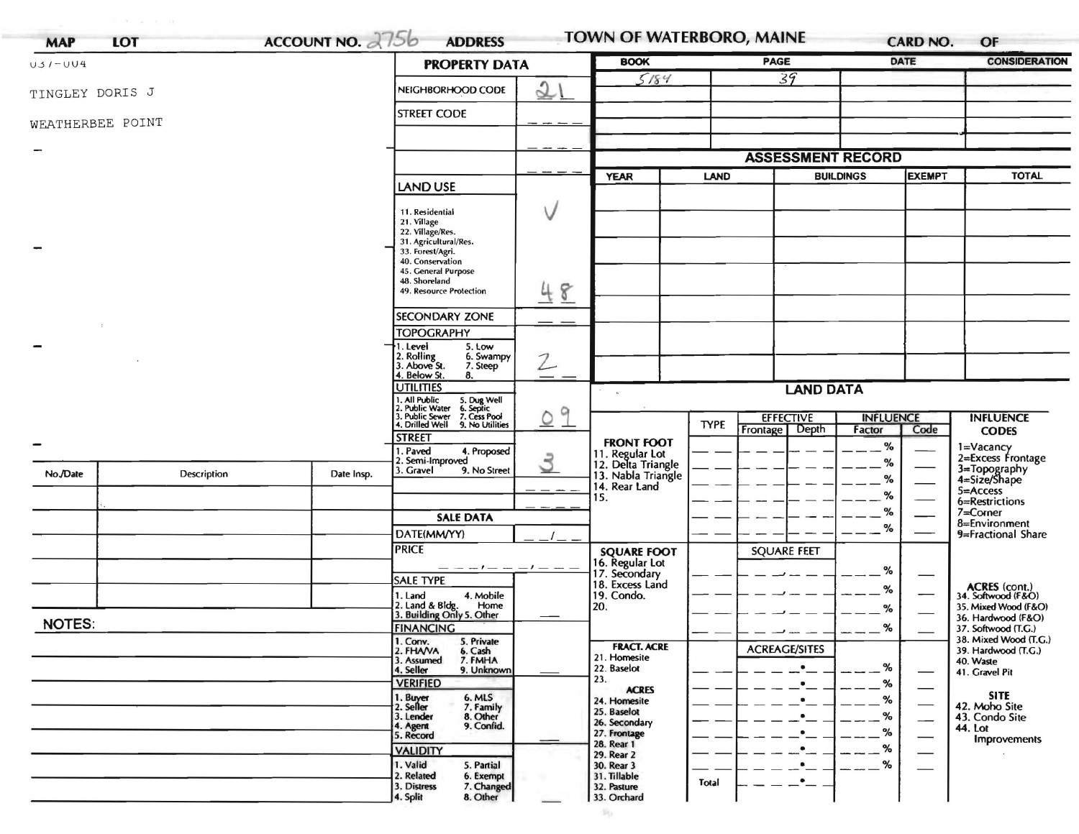| $U5I-UU4$        |             |            | <b>PROPERTY DATA</b>                                                                   |               | <b>BOOK</b>                                                 | <b>PAGE</b> |                          | <b>DATE</b>      |                                | <b>CONSIDERATION</b>                                        |
|------------------|-------------|------------|----------------------------------------------------------------------------------------|---------------|-------------------------------------------------------------|-------------|--------------------------|------------------|--------------------------------|-------------------------------------------------------------|
| TINGLEY DORIS J  |             |            | NEIGHBORHOOD CODE                                                                      | 21            | 5184                                                        |             | $\overline{39}$          |                  |                                |                                                             |
| WEATHERBEE POINT |             |            | <b>STREET CODE</b>                                                                     |               |                                                             |             |                          |                  |                                |                                                             |
|                  |             |            |                                                                                        |               |                                                             |             |                          |                  |                                |                                                             |
|                  |             |            |                                                                                        |               |                                                             |             | <b>ASSESSMENT RECORD</b> |                  |                                |                                                             |
|                  |             |            |                                                                                        |               | <b>YEAR</b>                                                 | <b>LAND</b> | <b>BUILDINGS</b>         |                  | <b>EXEMPT</b>                  | <b>TOTAL</b>                                                |
|                  |             |            | <b>LAND USE</b>                                                                        |               |                                                             |             |                          |                  |                                |                                                             |
|                  |             |            | 11. Residential                                                                        | V             |                                                             |             |                          |                  |                                |                                                             |
|                  |             |            | 21. Village<br>22. Village/Res.                                                        |               |                                                             |             |                          |                  |                                |                                                             |
|                  |             |            | 31. Agricultural/Res.<br>33. Forest/Agri.                                              |               |                                                             |             |                          |                  |                                |                                                             |
|                  |             |            | 40. Conservation<br>45. General Purpose                                                |               |                                                             |             |                          |                  |                                |                                                             |
|                  |             |            | 48. Shoreland<br>49. Resource Protection                                               | 48            |                                                             |             |                          |                  |                                |                                                             |
|                  |             |            |                                                                                        |               |                                                             |             |                          |                  |                                |                                                             |
|                  |             |            | <b>SECONDARY ZONE</b>                                                                  |               |                                                             |             |                          |                  |                                |                                                             |
|                  |             |            | <b>TOPOGRAPHY</b><br>1. Level<br>5. Low                                                |               |                                                             |             |                          |                  |                                |                                                             |
|                  |             |            | 2. Rolling<br>3. Above St.<br>6. Swampy<br>7. Steep                                    | $\mathcal{Z}$ |                                                             |             |                          |                  |                                |                                                             |
|                  |             |            | 4. Below St.<br>8.                                                                     |               |                                                             |             |                          |                  |                                |                                                             |
|                  |             |            | <b>UTILITIES</b><br>. All Public<br>. Public Water                                     |               |                                                             |             | <b>LAND DATA</b>         |                  |                                |                                                             |
|                  |             |            | 1. All Public 5. Dug Well<br>2. Public Water 6. Septic<br>3. Public Sewer 7. Cess Pool | 9<br>$\circ$  |                                                             |             | <b>EFFECTIVE</b>         | <b>INFLUENCE</b> |                                | <b>INFLUENCE</b>                                            |
|                  |             |            | 4. Drilled Well 9. No Utilities<br><b>STREET</b>                                       |               |                                                             | <b>TYPE</b> | Depth<br>Frontage        | Factor           | Code                           | <b>CODES</b>                                                |
|                  |             |            | . Paved<br>4. Proposed                                                                 |               | <b>FRONT FOOT</b>                                           |             |                          | %                |                                | 1=Vacancy<br>2=Excess Frontage                              |
| No./Date         | Description | Date Insp. | 2. Semi-Improved<br>3. Gravel<br>9. No Street                                          | 3             | 11. Regular Lot<br>12. Delta Triangle<br>13. Nabla Triangle |             |                          | %                |                                | 3=Topography<br>4=Size/Shape                                |
|                  |             |            |                                                                                        |               | 14. Rear Land                                               |             |                          | %<br>%           |                                | 5=Access                                                    |
|                  |             |            |                                                                                        |               | 15.                                                         |             |                          | %                |                                | 6=Restrictions<br>$7 =$ Corner                              |
|                  |             |            | <b>SALE DATA</b><br>DATE(MM/YY)                                                        |               |                                                             |             |                          | %                |                                | 8=Environment                                               |
|                  |             |            | <b>PRICE</b>                                                                           |               | <b>SQUARE FOOT</b>                                          |             | <b>SQUARE FEET</b>       |                  |                                | 9=Fractional Share                                          |
|                  |             |            |                                                                                        |               | 16. Regular Lot<br>17. Secondary                            |             |                          |                  |                                |                                                             |
|                  |             |            | <b>SALE TYPE</b>                                                                       |               | 18. Excess Land                                             |             |                          | %                |                                |                                                             |
|                  |             |            | 4. Mobile<br>1. Land<br>Home                                                           |               | 19. Condo.<br>20.                                           |             |                          | %                |                                | ACRES (cont.)<br>34. Softwood (F&O)<br>35. Mixed Wood (F&O) |
| <b>NOTES:</b>    |             |            | 2. Land & Bldg. Home<br>3. Building Only 5. Other                                      |               |                                                             |             |                          | %                |                                | 36. Hardwood (F&O)                                          |
|                  |             |            | <b><i>FINANCING</i></b><br>5. Private                                                  |               |                                                             |             |                          | %                |                                | 37. Softwood (T.G.)<br>38. Mixed Wood (T.G.)                |
|                  |             |            | 1. Conv.<br>2. FHAVA<br>6. Cash<br>3. Assumed<br>7. FMHA                               |               | <b>FRACT. ACRE</b><br>21. Homesite                          |             | <b>ACREAGE/SITES</b>     |                  |                                | 39. Hardwood (T.G.)<br>40. Waste                            |
|                  |             |            | 4. Seller<br>9. Unknown                                                                |               | 22. Baselot<br>23.                                          |             | $\bullet$                | %                | $\overbrace{\hspace{25mm}}^{}$ | 41. Gravel Pit                                              |
|                  |             |            | <b>VERIFIED</b><br>1. Buyer                                                            |               | <b>ACRES</b>                                                |             | $\bullet$                | %                | —                              | <b>SITE</b>                                                 |
|                  |             |            | 6. MLS<br>7. Family<br>8. Other<br>2. Seller                                           |               | 24. Homesite<br>25. Baselot                                 |             |                          | %<br>%           |                                | 42. Moho Site                                               |
|                  |             |            | 3. Lender<br>9. Confid.<br>4. Agent                                                    |               | 26. Secondary<br>27. Frontage                               |             |                          | %                |                                | 43. Condo Site<br>44. Lot                                   |
|                  |             |            | 5. Record<br><b>VALIDITY</b>                                                           |               | 28. Rear 1                                                  |             |                          | %                |                                | <b>Improvements</b>                                         |
|                  |             |            | 1. Valid<br>5. Partial                                                                 |               | 29. Rear 2<br>30. Rear 3                                    |             |                          | %                |                                |                                                             |
|                  |             |            | 2. Related<br>6. Exempt<br>3. Distress<br>7. Changed                                   |               | 31. Tillable<br>32. Pasture                                 | Total       | $\bullet$                |                  |                                |                                                             |
|                  |             |            | 8. Other<br>4. Split                                                                   |               | 33. Orchard                                                 |             |                          |                  |                                |                                                             |